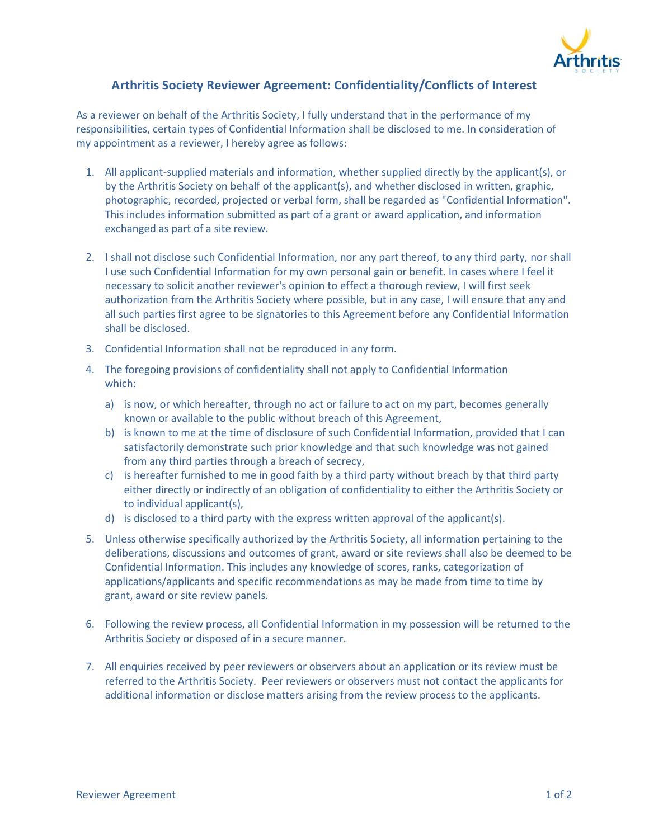

## **Arthritis Society Reviewer Agreement: Confidentiality/Conflicts of Interest**

As a reviewer on behalf of the Arthritis Society, I fully understand that in the performance of my responsibilities, certain types of Confidential Information shall be disclosed to me. In consideration of my appointment as a reviewer, I hereby agree as follows:

- 1. All applicant-supplied materials and information, whether supplied directly by the applicant(s), or by the Arthritis Society on behalf of the applicant(s), and whether disclosed in written, graphic, photographic, recorded, projected or verbal form, shall be regarded as "Confidential Information". This includes information submitted as part of a grant or award application, and information exchanged as part of a site review.
- 2. I shall not disclose such Confidential Information, nor any part thereof, to any third party, nor shall I use such Confidential Information for my own personal gain or benefit. In cases where I feel it necessary to solicit another reviewer's opinion to effect a thorough review, I will first seek authorization from the Arthritis Society where possible, but in any case, I will ensure that any and all such parties first agree to be signatories to this Agreement before any Confidential Information shall be disclosed.
- 3. Confidential Information shall not be reproduced in any form.
- 4. The foregoing provisions of confidentiality shall not apply to Confidential Information which:
	- a) is now, or which hereafter, through no act or failure to act on my part, becomes generally known or available to the public without breach of this Agreement,
	- b) is known to me at the time of disclosure of such Confidential Information, provided that I can satisfactorily demonstrate such prior knowledge and that such knowledge was not gained from any third parties through a breach of secrecy,
	- c) is hereafter furnished to me in good faith by a third party without breach by that third party either directly or indirectly of an obligation of confidentiality to either the Arthritis Society or to individual applicant(s),
	- d) is disclosed to a third party with the express written approval of the applicant(s).
- 5. Unless otherwise specifically authorized by the Arthritis Society, all information pertaining to the deliberations, discussions and outcomes of grant, award or site reviews shall also be deemed to be Confidential Information. This includes any knowledge of scores, ranks, categorization of applications/applicants and specific recommendations as may be made from time to time by grant, award or site review panels.
- 6. Following the review process, all Confidential Information in my possession will be returned to the Arthritis Society or disposed of in a secure manner.
- 7. All enquiries received by peer reviewers or observers about an application or its review must be referred to the Arthritis Society. Peer reviewers or observers must not contact the applicants for additional information or disclose matters arising from the review process to the applicants.